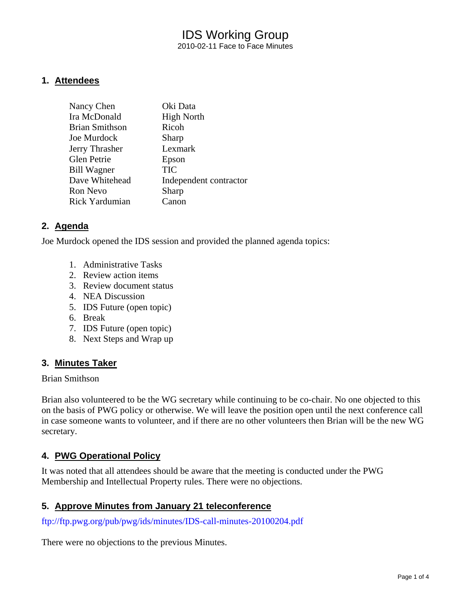## IDS Working Group 2010-02-11 Face to Face Minutes

#### **1. Attendees**

| Nancy Chen            | Oki Data               |
|-----------------------|------------------------|
| Ira McDonald          | <b>High North</b>      |
| <b>Brian Smithson</b> | Ricoh                  |
| Joe Murdock           | Sharp                  |
| Jerry Thrasher        | Lexmark                |
| Glen Petrie           | Epson                  |
| <b>Bill Wagner</b>    | TIC                    |
| Dave Whitehead        | Independent contractor |
| <b>Ron Nevo</b>       | Sharp                  |
| Rick Yardumian        | Canon                  |

#### **2. Agenda**

Joe Murdock opened the IDS session and provided the planned agenda topics:

- 1. Administrative Tasks
- 2. Review action items
- 3. Review document status
- 4. NEA Discussion
- 5. IDS Future (open topic)
- 6. Break
- 7. IDS Future (open topic)
- 8. Next Steps and Wrap up

#### **3. Minutes Taker**

#### Brian Smithson

Brian also volunteered to be the WG secretary while continuing to be co-chair. No one objected to this on the basis of PWG policy or otherwise. We will leave the position open until the next conference call in case someone wants to volunteer, and if there are no other volunteers then Brian will be the new WG secretary.

#### **4. PWG Operational Policy**

It was noted that all attendees should be aware that the meeting is conducted under the PWG Membership and Intellectual Property rules. There were no objections.

#### **5. Approve Minutes from January 21 teleconference**

<ftp://ftp.pwg.org/pub/pwg/ids/minutes/IDS-call-minutes-20100204.pdf>

There were no objections to the previous Minutes.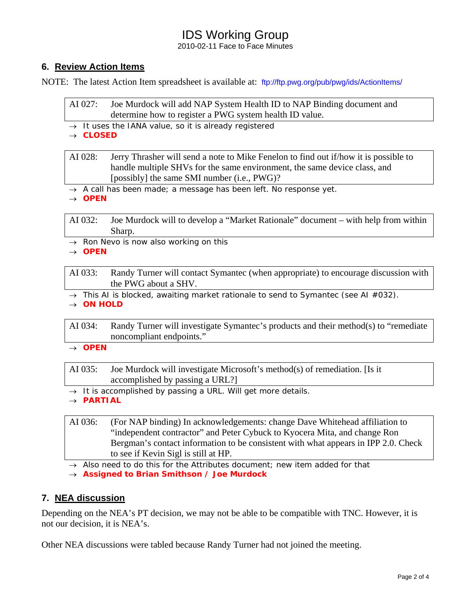# IDS Working Group

2010-02-11 Face to Face Minutes

## **6. Review Action Items**

NOTE: The latest Action Item spreadsheet is available at: <ftp://ftp.pwg.org/pub/pwg/ids/ActionItems/>

| AI 027: Joe Murdock will add NAP System Health ID to NAP Binding document and |
|-------------------------------------------------------------------------------|
| determine how to register a PWG system health ID value.                       |

→ *It uses the IANA value, so it is already registered* 

→ *CLOSED*

AI 028: Jerry Thrasher will send a note to Mike Fenelon to find out if/how it is possible to handle multiple SHVs for the same environment, the same device class, and [possibly] the same SMI number (i.e., PWG)?

- → *A call has been made; a message has been left. No response yet.*
- → *OPEN*

AI 032: Joe Murdock will to develop a "Market Rationale" document – with help from within Sharp.

→ *Ron Nevo is now also working on this*

→ *OPEN* 

AI 033: Randy Turner will contact Symantec (when appropriate) to encourage discussion with the PWG about a SHV.

→ *This AI is blocked, awaiting market rationale to send to Symantec (see AI #032).*

→ *ON HOLD* 

AI 034: Randy Turner will investigate Symantec's products and their method(s) to "remediate noncompliant endpoints."

→ *OPEN* 

AI 035: Joe Murdock will investigate Microsoft's method(s) of remediation. [Is it accomplished by passing a URL?]

- → *It is accomplished by passing a URL. Will get more details.*
- → *PARTIAL*

AI 036: (For NAP binding) In acknowledgements: change Dave Whitehead affiliation to "independent contractor" and Peter Cybuck to Kyocera Mita, and change Ron Bergman's contact information to be consistent with what appears in IPP 2.0. Check to see if Kevin Sigl is still at HP.

→ *Also need to do this for the Attributes document; new item added for that*

→ *Assigned to Brian Smithson / Joe Murdock* 

## **7. NEA discussion**

Depending on the NEA's PT decision, we may not be able to be compatible with TNC. However, it is not our decision, it is NEA's.

Other NEA discussions were tabled because Randy Turner had not joined the meeting.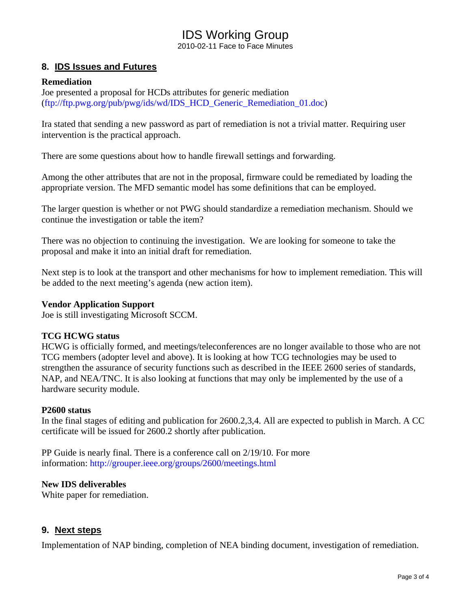# IDS Working Group

2010-02-11 Face to Face Minutes

#### **8. IDS Issues and Futures**

#### **Remediation**

Joe presented a proposal for HCDs attributes for generic mediation ([ftp://ftp.pwg.org/pub/pwg/ids/wd/IDS\\_HCD\\_Generic\\_Remediation\\_01.doc\)](ftp://ftp.pwg.org/pub/pwg/ids/wd/IDS_HCD_Generic_Remediation_01.doc)

Ira stated that sending a new password as part of remediation is not a trivial matter. Requiring user intervention is the practical approach.

There are some questions about how to handle firewall settings and forwarding.

Among the other attributes that are not in the proposal, firmware could be remediated by loading the appropriate version. The MFD semantic model has some definitions that can be employed.

The larger question is whether or not PWG should standardize a remediation mechanism. Should we continue the investigation or table the item?

There was no objection to continuing the investigation. We are looking for someone to take the proposal and make it into an initial draft for remediation.

Next step is to look at the transport and other mechanisms for how to implement remediation. This will be added to the next meeting's agenda (new action item).

#### **Vendor Application Support**

Joe is still investigating Microsoft SCCM.

#### **TCG HCWG status**

HCWG is officially formed, and meetings/teleconferences are no longer available to those who are not TCG members (adopter level and above). It is looking at how TCG technologies may be used to strengthen the assurance of security functions such as described in the IEEE 2600 series of standards, NAP, and NEA/TNC. It is also looking at functions that may only be implemented by the use of a hardware security module.

#### **P2600 status**

In the final stages of editing and publication for 2600.2,3,4. All are expected to publish in March. A CC certificate will be issued for 2600.2 shortly after publication.

PP Guide is nearly final. There is a conference call on 2/19/10. For more information:<http://grouper.ieee.org/groups/2600/meetings.html>

#### **New IDS deliverables**

White paper for remediation.

#### **9. Next steps**

Implementation of NAP binding, completion of NEA binding document, investigation of remediation.